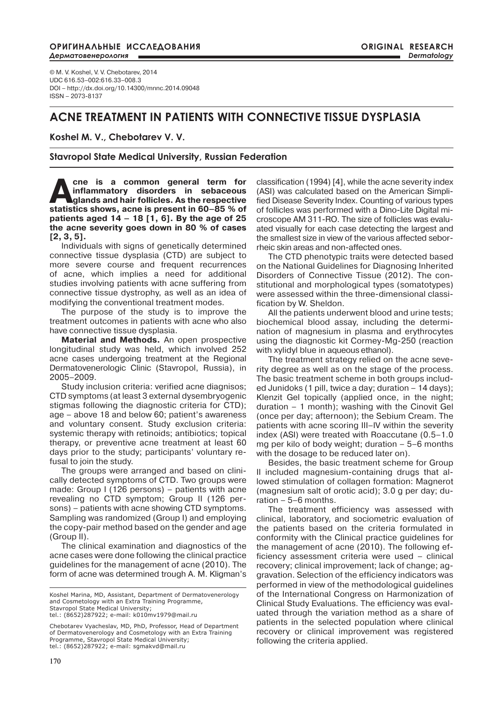#### **ОРИГИНАЛЬНЫЕ ИССЛЕДОВАНИЯ** *Дерматовенерология*

© M. V. Koshel, V. V. Chebotarev, 2014 UDC 616.53–002:616.33–008.3 DOI – http://dx.doi.org/10.14300/mnnc.2014.09048 ISSN – 2073-8137

# **ACNE TREATMENT IN PATIENTS WITH CONNECTIVE TISSUE DYSPLASIA**

## **Koshel M. V., Chebotarev V. V.**

## **Stavropol State Medical University, Russian Federation**

**Acne is a common general term for inflammatory disorders in sebaceous glands and hair follicles. As the respective statistics shows, acne is present in 60–85 % of patients aged 14 – 18 [1, 6]. By the age of 25 the acne severity goes down in 80 % of cases [2, 3, 5].**

Individuals with signs of genetically determined connective tissue dysplasia (CTD) are subject to more severe course and frequent recurrences of acne, which implies a need for additional studies involving patients with acne suffering from connective tissue dystrophy, as well as an idea of modifying the conventional treatment modes.

The purpose of the study is to improve the treatment outcomes in patients with acne who also have connective tissue dysplasia.

**Material and Мethods.** An open prospective longitudinal study was held, which involved 252 acne cases undergoing treatment at the Regional Dermatovenerologic Clinic (Stavropol, Russia), in 2005–2009.

Study inclusion criteria: verified acne diagnisos; CTD symptoms (at least 3 external dysembryogenic stigmas following the diagnostic criteria for CTD); age – above 18 and below 60; patient's awareness and voluntary consent. Study exclusion criteria: systemic therapy with retinoids; antibiotics; topical therapy, or preventive acne treatment at least 60 days prior to the study; participants' voluntary refusal to join the study.

The groups were arranged and based on clinically detected symptoms of CTD. Two groups were made: Group I (126 persons) – patients with acne revealing no CTD symptom; Group II (126 persons) – patients with acne showing CTD symptoms. Sampling was randomized (Group I) and employing the copy-pair method based on the gender and age (Group II).

The clinical examination and diagnostics of the acne cases were done following the clinical practice guidelines for the management of acne (2010). The form of acne was determined trough A. M. Kligman's

Koshel Marina, MD, Assistant, Department of Dermatovenerology and Cosmetology with an Extra Training Programme, Stavropol State Medical University:

tel.: (8652)287922; e-mail: k010mv1979@mail.ru

Chebotarev Vyacheslav, MD, PhD, Professor, Head of Department of Dermatovenerology and Cosmetology with an Extra Training Programme, Stavropol State Medical University; tel.: (8652)287922; e-mail: sgmakvd@mail.ru

classification (1994) [4], while the acne severity index (ASI) was calculated based on the American Simplified Disease Severity Index. Counting of various types of follicles was performed with a Dino-Lite Digital microscope AM 311-RO. The size of follicles was evaluated visually for each case detecting the largest and the smallest size in view of the various affected seborrheic skin areas and non-affected ones.

The CTD phenotypic traits were detected based on the National Guidelines for Diagnosing Inherited Disorders of Connective Tissue (2012). The constitutional and morphological types (somatotypes) were assessed within the three-dimensional classification by W. Sheldon.

All the patients underwent blood and urine tests; biochemical blood assay, including the determination of magnesium in plasma and erythrocytes using the diagnostic kit Cormey-Mg-250 (reaction with xylidyl blue in aqueous ethanol).

The treatment strategy relied on the acne severity degree as well as on the stage of the process. The basic treatment scheme in both groups included Junidoks (1 pill, twice a day; duration – 14 days); Klenzit Gel topically (applied once, in the night; duration – 1 month); washing with the Cinovit Gel (once per day; afternoon); the Sebium Cream. The patients with acne scoring III–IV within the severity index (ASI) were treated with Roaccutane (0.5–1.0 mg per kilo of body weight; duration – 5–6 months with the dosage to be reduced later on).

Besides, the basic treatment scheme for Group II included magnesium-containing drugs that allowed stimulation of collagen formation: Magnerot (magnesium salt of orotic acid); 3.0 g per day; duration – 5–6 months.

The treatment efficiency was assessed with clinical, laboratory, and sociometric evaluation of the patients based on the criteria formulated in conformity with the Clinical practice guidelines for the management of acne (2010). The following efficiency assessment criteria were used – clinical recovery; clinical improvement; lack of change; aggravation. Selection of the efficiency indicators was performed in view of the methodological guidelines of the International Congress on Harmonization of Clinical Study Evaluations. The efficiency was evaluated through the variation method as a share of patients in the selected population where clinical recovery or clinical improvement was registered following the criteria applied.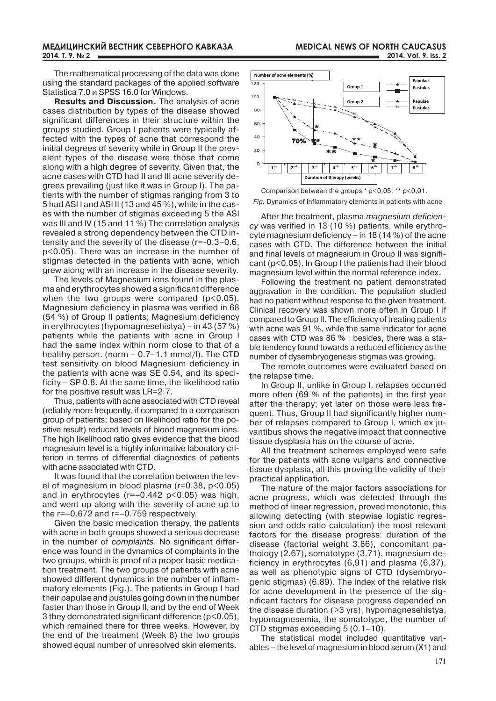The mathematical processing of the data was done using the standard packages of the applied software Statistica 7.0 и SPSS 16.0 for Windows.

**Results and Discussion.** The analysis of acne cases distribution by types of the disease showed significant differences in their structure within the groups studied. Group I patients were typically affected with the types of acne that correspond the initial degrees of severity while in Group II the prevalent types of the disease were those that come along with a high degree of severity. Given that, the acne cases with CTD had II and III acne severity degrees prevailing (just like it was in Group I). The patients with the number of stigmas ranging from 3 to 5 had ASI I and ASI II (13 and 45 %), while in the cases with the number of stigmas exceeding 5 the ASI was III and IV (15 and 11 %) The correlation analysis revealed a strong dependency between the CTD intensity and the severity of the disease (r=-0.3–0.6, p<0.05). There was an increase in the number of stigmas detected in the patients with acne, which grew along with an increase in the disease severity.

The levels of Magnesium ions found in the plasma and erythrocytes showed a significant difference when the two groups were compared (p<0.05). Magnesium deficiency in plasma was verified in 68 (54 %) of Group II patients; Magnesium deficiency in erythrocytes (hypomagnesehistya) – in 43 (57 %) patients while the patients with acne in Group I had the same index within norm close to that of a healthy person. (norm – 0.7–1.1 mmol/l). The CTD test sensitivity on blood Magnesium deficiency in the patients with acne was SE 0.54, and its specificity – SP 0.8. At the same time, the likelihood ratio for the positive result was LR=2.7.

Thus, patients with acne associated with CTD reveal (reliably more frequently, if compared to a comparison group of patients; based on likelihood ratio for the positive result) reduced levels of blood magnesium ions. The high likelihood ratio gives evidence that the blood magnesium level is a highly informative laboratory criterion in terms of differential diagnostics of patients with acne associated with CTD.

It was found that the correlation between the level of magnesium in blood plasma (r=0.38, p<0.05) and in erythrocytes (r=–0.442 p<0.05) was high, and went up along with the severity of acne up to the r=–0.672 and r=–0.759 respectively.

Given the basic medication therapy, the patients with acne in both groups showed a serious decrease in the number of *complaints*. No significant difference was found in the dynamics of complaints in the two groups, which is proof of a proper basic medication treatment. The two groups of patients with acne showed different dynamics in the number of inflammatory elements (Fig.). The patients in Group I had their papulae and pustules going down in the number faster than those in Group II, and by the end of Week 3 they demonstrated significant difference ( $p$ <0.05), which remained there for three weeks. However, by the end of the treatment (Week 8) the two groups showed equal number of unresolved skin elements.





After the treatment, plasma *magnesium deficiency* was verified in 13 (10 %) patients, while erythrocyte magnesium deficiency – in 18 (14 %) of the acne cases with CTD. The difference between the initial and final levels of magnesium in Group II was significant (р<0.05). In Group I the patients had their blood magnesium level within the normal reference index.

Following the treatment no patient demonstrated aggravation in the condition. The population studied had no patient without response to the given treatment. Clinical recovery was shown more often in Group I if compared to Group II. The efficiency of treating patients with acne was 91 %, while the same indicator for acne cases with CTD was 86 % ; besides, there was a stable tendency found towards a reduced efficiency as the number of dysembryogenesis stigmas was growing.

The remote outcomes were evaluated based on the relapse time.

In Group II, unlike in Group I, relapses occurred more often (69 % of the patients) in the first year after the therapy; yet later on those were less frequent. Thus, Group II had significantly higher number of relapses compared to Group I, which ex juvantibus shows the negative impact that connective tissue dysplasia has on the course of acne.

All the treatment schemes employed were safe for the patients with acne vulgaris and connective tissue dysplasia, all this proving the validity of their practical application.

The nature of the major factors associations for acne progress, which was detected through the method of linear regression, proved monotonic, this allowing detecting (with stepwise logistic regression and odds ratio calculation) the most relevant factors for the disease progress: duration of the disease (factorial weight 3.86), concomitant pathology (2.67), somatotype (3.71), magnesium deficiency in erythrocytes (6,91) and plasma (6,37), as well as phenotypic signs of CTD (dysembryogenic stigmas) (6.89). The index of the relative risk for acne development in the presence of the significant factors for disease progress depended on the disease duration (>3 yrs), hypomagnesehistya, hypomagnesemia, the somatotype, the number of CTD stigmas exceeding 5 (0.1–10).

The statistical model included quantitative variables – the level of magnesium in blood serum (Х1) and